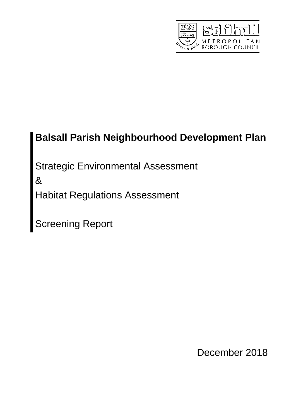

# **Balsall Parish Neighbourhood Development Plan**

Strategic Environmental Assessment

&

Habitat Regulations Assessment

Screening Report

December 2018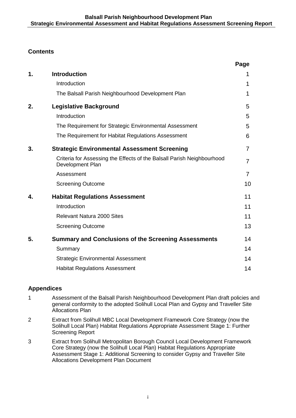# **Contents**

|    |                                                                                            | Page |
|----|--------------------------------------------------------------------------------------------|------|
| 1. | <b>Introduction</b>                                                                        | 1    |
|    | Introduction                                                                               | 1    |
|    | The Balsall Parish Neighbourhood Development Plan                                          | 1    |
| 2. | <b>Legislative Background</b>                                                              | 5    |
|    | Introduction                                                                               | 5    |
|    | The Requirement for Strategic Environmental Assessment                                     | 5    |
|    | The Requirement for Habitat Regulations Assessment                                         | 6    |
| 3. | <b>Strategic Environmental Assessment Screening</b>                                        | 7    |
|    | Criteria for Assessing the Effects of the Balsall Parish Neighbourhood<br>Development Plan | 7    |
|    | Assessment                                                                                 | 7    |
|    | <b>Screening Outcome</b>                                                                   | 10   |
| 4. | <b>Habitat Regulations Assessment</b>                                                      | 11   |
|    | Introduction                                                                               | 11   |
|    | <b>Relevant Natura 2000 Sites</b>                                                          | 11   |
|    | <b>Screening Outcome</b>                                                                   | 13   |
| 5. | <b>Summary and Conclusions of the Screening Assessments</b>                                | 14   |
|    | Summary                                                                                    | 14   |
|    | <b>Strategic Environmental Assessment</b>                                                  | 14   |
|    | <b>Habitat Regulations Assessment</b>                                                      | 14   |

## **Appendices**

- 1 Assessment of the Balsall Parish Neighbourhood Development Plan draft policies and general conformity to the adopted Solihull Local Plan and Gypsy and Traveller Site Allocations Plan
- 2 Extract from Solihull MBC Local Development Framework Core Strategy (now the Solihull Local Plan) Habitat Regulations Appropriate Assessment Stage 1: Further Screening Report
- 3 Extract from Solihull Metropolitan Borough Council Local Development Framework Core Strategy (now the Solihull Local Plan) Habitat Regulations Appropriate Assessment Stage 1: Additional Screening to consider Gypsy and Traveller Site Allocations Development Plan Document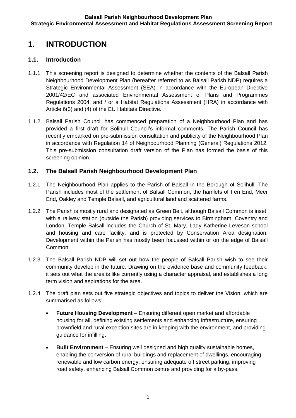# **1. INTRODUCTION**

### **1.1. Introduction**

- 1.1.1 This screening report is designed to determine whether the contents of the Balsall Parish Neighbourhood Development Plan (hereafter referred to as Balsall Parish NDP) requires a Strategic Environmental Assessment (SEA) in accordance with the European Directive 2001/42/EC and associated Environmental Assessment of Plans and Programmes Regulations 2004; and / or a Habitat Regulations Assessment (HRA) in accordance with Article 6(3) and (4) of the EU Habitats Directive.
- 1.1.2 Balsall Parish Council has commenced preparation of a Neighbourhood Plan and has provided a first draft for Solihull Council's informal comments. The Parish Council has recently embarked on pre-submission consultation and publicity of the Neighbourhood Plan in accordance with Regulation 14 of Neighbourhood Planning (General) Regulations 2012. This pre-submission consultation draft version of the Plan has formed the basis of this screening opinion.

### **1.2. The Balsall Parish Neighbourhood Development Plan**

- 1.2.1 The Neighbourhood Plan applies to the Parish of Balsall in the Borough of Solihull. The Parish includes most of the settlement of Balsall Common, the hamlets of Fen End, Meer End, Oakley and Temple Balsall, and agricultural land and scattered farms.
- 1.2.2 The Parish is mostly rural and designated as Green Belt, although Balsall Common is inset, with a railway station (outside the Parish) providing services to Birmingham, Coventry and London. Temple Balsall includes the Church of St. Mary, Lady Katherine Leveson school and housing and care facility, and is protected by Conservation Area designation. Development within the Parish has mostly been focussed within or on the edge of Balsall Common.
- 1.2.3 The Balsall Parish NDP will set out how the people of Balsall Parish wish to see their community develop in the future. Drawing on the evidence base and community feedback, it sets out what the area is like currently using a character appraisal, and establishes a long term vision and aspirations for the area.
- 1.2.4 The draft plan sets out five strategic objectives and topics to deliver the Vision, which are summarised as follows:
	- **Future Housing Development** Ensuring different open market and affordable housing for all, defining existing settlements and enhancing infrastructure, ensuring brownfield and rural exception sites are in keeping with the environment, and providing guidance for infilling.
	- **Built Environment** Ensuring well designed and high quality sustainable homes, enabling the conversion of rural buildings and replacement of dwellings, encouraging renewable and low carbon energy, ensuring adequate off street parking, improving road safety, enhancing Balsall Common centre and providing for a by-pass.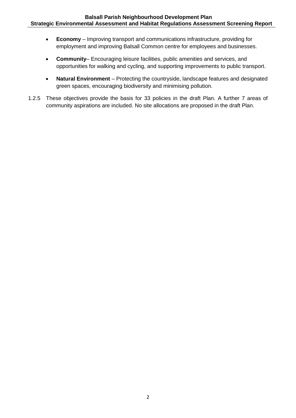- **Economy** Improving transport and communications infrastructure, providing for employment and improving Balsall Common centre for employees and businesses.
- **Community** Encouraging leisure facilities, public amenities and services, and opportunities for walking and cycling, and supporting improvements to public transport.
- **Natural Environment** Protecting the countryside, landscape features and designated green spaces, encouraging biodiversity and minimising pollution.
- 1.2.5 These objectives provide the basis for 33 policies in the draft Plan. A further 7 areas of community aspirations are included. No site allocations are proposed in the draft Plan.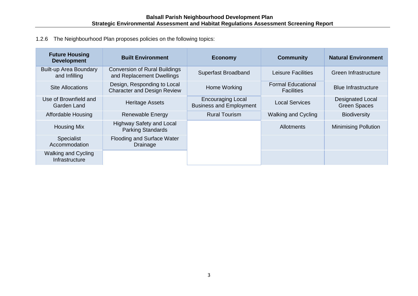1.2.6 The Neighbourhood Plan proposes policies on the following topics:

| <b>Future Housing</b><br><b>Development</b>    | <b>Built Environment</b>                                          | <b>Economy</b>                                             | <b>Community</b>                               | <b>Natural Environment</b>                     |
|------------------------------------------------|-------------------------------------------------------------------|------------------------------------------------------------|------------------------------------------------|------------------------------------------------|
| <b>Built-up Area Boundary</b><br>and Infilling | <b>Conversion of Rural Buildings</b><br>and Replacement Dwellings | Superfast Broadband                                        | Leisure Facilities                             | Green Infrastructure                           |
| <b>Site Allocations</b>                        | Design, Responding to Local<br><b>Character and Design Review</b> | Home Working                                               | <b>Formal Educational</b><br><b>Facilities</b> | <b>Blue Infrastructure</b>                     |
| Use of Brownfield and<br>Garden Land           | <b>Heritage Assets</b>                                            | <b>Encouraging Local</b><br><b>Business and Employment</b> | <b>Local Services</b>                          | <b>Designated Local</b><br><b>Green Spaces</b> |
| <b>Affordable Housing</b>                      | Renewable Energy                                                  | <b>Rural Tourism</b>                                       | <b>Walking and Cycling</b>                     | <b>Biodiversity</b>                            |
| <b>Housing Mix</b>                             | <b>Highway Safety and Local</b><br><b>Parking Standards</b>       |                                                            | <b>Allotments</b>                              | <b>Minimising Pollution</b>                    |
| Specialist<br>Accommodation                    | Flooding and Surface Water<br>Drainage                            |                                                            |                                                |                                                |
| <b>Walking and Cycling</b><br>Infrastructure   |                                                                   |                                                            |                                                |                                                |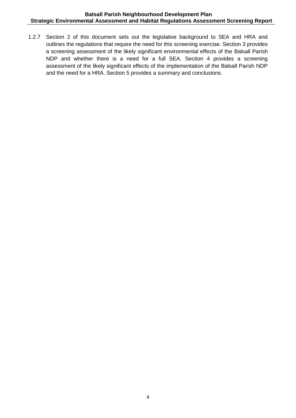1.2.7 Section 2 of this document sets out the legislative background to SEA and HRA and outlines the regulations that require the need for this screening exercise. Section 3 provides a screening assessment of the likely significant environmental effects of the Balsall Parish NDP and whether there is a need for a full SEA. Section 4 provides a screening assessment of the likely significant effects of the implementation of the Balsall Parish NDP and the need for a HRA. Section 5 provides a summary and conclusions.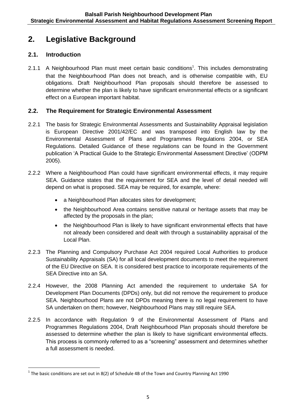# **2. Legislative Background**

# **2.1. Introduction**

1

2.1.1 A Neighbourhood Plan must meet certain basic conditions<sup>1</sup>. This includes demonstrating that the Neighbourhood Plan does not breach, and is otherwise compatible with, EU obligations. Draft Neighbourhood Plan proposals should therefore be assessed to determine whether the plan is likely to have significant environmental effects or a significant effect on a European important habitat.

# **2.2. The Requirement for Strategic Environmental Assessment**

- 2.2.1 The basis for Strategic Environmental Assessments and Sustainability Appraisal legislation is European Directive 2001/42/EC and was transposed into English law by the Environmental Assessment of Plans and Programmes Regulations 2004, or SEA Regulations. Detailed Guidance of these regulations can be found in the Government publication 'A Practical Guide to the Strategic Environmental Assessment Directive' (ODPM 2005).
- 2.2.2 Where a Neighbourhood Plan could have significant environmental effects, it may require SEA. Guidance states that the requirement for SEA and the level of detail needed will depend on what is proposed. SEA may be required, for example, where:
	- a Neighbourhood Plan allocates sites for development;
	- the Neighbourhood Area contains sensitive natural or heritage assets that may be affected by the proposals in the plan;
	- the Neighbourhood Plan is likely to have significant environmental effects that have not already been considered and dealt with through a sustainability appraisal of the Local Plan.
- 2.2.3 The Planning and Compulsory Purchase Act 2004 required Local Authorities to produce Sustainability Appraisals (SA) for all local development documents to meet the requirement of the EU Directive on SEA. It is considered best practice to incorporate requirements of the SEA Directive into an SA.
- 2.2.4 However, the 2008 Planning Act amended the requirement to undertake SA for Development Plan Documents (DPDs) only, but did not remove the requirement to produce SEA. Neighbourhood Plans are not DPDs meaning there is no legal requirement to have SA undertaken on them; however, Neighbourhood Plans may still require SEA.
- 2.2.5 In accordance with Regulation 9 of the Environmental Assessment of Plans and Programmes Regulations 2004, Draft Neighbourhood Plan proposals should therefore be assessed to determine whether the plan is likely to have significant environmental effects. This process is commonly referred to as a "screening" assessment and determines whether a full assessment is needed.

<sup>&</sup>lt;sup>1</sup> The basic conditions are set out in 8(2) of Schedule 4B of the Town and Country Planning Act 1990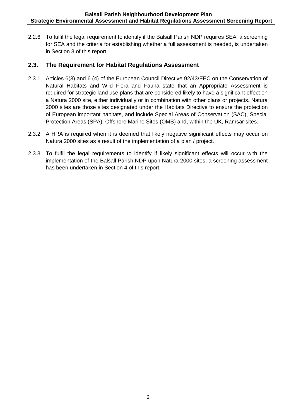2.2.6 To fulfil the legal requirement to identify if the Balsall Parish NDP requires SEA, a screening for SEA and the criteria for establishing whether a full assessment is needed, is undertaken in Section 3 of this report.

### **2.3. The Requirement for Habitat Regulations Assessment**

- 2.3.1 Articles 6(3) and 6 (4) of the European Council Directive 92/43/EEC on the Conservation of Natural Habitats and Wild Flora and Fauna state that an Appropriate Assessment is required for strategic land use plans that are considered likely to have a significant effect on a Natura 2000 site, either individually or in combination with other plans or projects. Natura 2000 sites are those sites designated under the Habitats Directive to ensure the protection of European important habitats, and include Special Areas of Conservation (SAC), Special Protection Areas (SPA), Offshore Marine Sites (OMS) and, within the UK, Ramsar sites.
- 2.3.2 A HRA is required when it is deemed that likely negative significant effects may occur on Natura 2000 sites as a result of the implementation of a plan / project.
- 2.3.3 To fulfil the legal requirements to identify if likely significant effects will occur with the implementation of the Balsall Parish NDP upon Natura 2000 sites, a screening assessment has been undertaken in Section 4 of this report.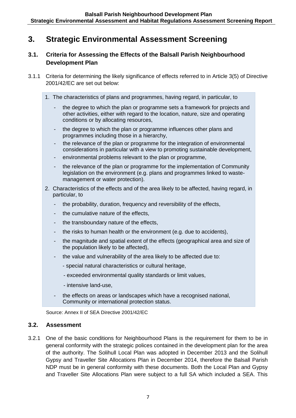# **3. Strategic Environmental Assessment Screening**

## **3.1. Criteria for Assessing the Effects of the Balsall Parish Neighbourhood Development Plan**

- 3.1.1 Criteria for determining the likely significance of effects referred to in Article 3(5) of Directive 2001/42/EC are set out below:
	- 1. The characteristics of plans and programmes, having regard, in particular, to
		- the degree to which the plan or programme sets a framework for projects and other activities, either with regard to the location, nature, size and operating conditions or by allocating resources,
		- the degree to which the plan or programme influences other plans and programmes including those in a hierarchy,
		- the relevance of the plan or programme for the integration of environmental considerations in particular with a view to promoting sustainable development,
		- environmental problems relevant to the plan or programme,
		- the relevance of the plan or programme for the implementation of Community legislation on the environment (e.g. plans and programmes linked to wastemanagement or water protection).
	- 2. Characteristics of the effects and of the area likely to be affected, having regard, in particular, to
		- the probability, duration, frequency and reversibility of the effects,
		- the cumulative nature of the effects,
		- the transboundary nature of the effects,
		- the risks to human health or the environment (e.g. due to accidents),
		- the magnitude and spatial extent of the effects (geographical area and size of the population likely to be affected),
		- the value and vulnerability of the area likely to be affected due to:
			- special natural characteristics or cultural heritage,
			- exceeded environmental quality standards or limit values,
			- intensive land-use,
		- the effects on areas or landscapes which have a recognised national, Community or international protection status.

Source: Annex II of SEA Directive 2001/42/EC

#### **3.2. Assessment**

3.2.1 One of the basic conditions for Neighbourhood Plans is the requirement for them to be in general conformity with the strategic polices contained in the development plan for the area of the authority. The Solihull Local Plan was adopted in December 2013 and the Solihull Gypsy and Traveller Site Allocations Plan in December 2014, therefore the Balsall Parish NDP must be in general conformity with these documents. Both the Local Plan and Gypsy and Traveller Site Allocations Plan were subject to a full SA which included a SEA. This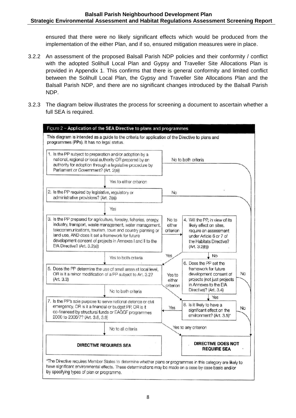ensured that there were no likely significant effects which would be produced from the implementation of the either Plan, and if so, ensured mitigation measures were in place.

- 3.2.2 An assessment of the proposed Balsall Parish NDP policies and their conformity / conflict with the adopted Solihull Local Plan and Gypsy and Traveller Site Allocations Plan is provided in Appendix 1. This confirms that there is general conformity and limited conflict between the Solihull Local Plan, the Gypsy and Traveller Site Allocations Plan and the Balsall Parish NDP, and there are no significant changes introduced by the Balsall Parish NDP.
- 3.2.3 The diagram below illustrates the process for screening a document to ascertain whether a full SEA is required.

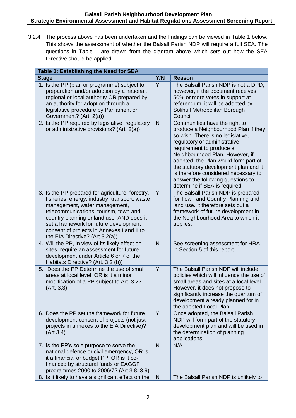3.2.4 The process above has been undertaken and the findings can be viewed in Table 1 below. This shows the assessment of whether the Balsall Parish NDP will require a full SEA. The questions in Table 1 are drawn from the diagram above which sets out how the SEA Directive should be applied.

| Table 1: Establishing the Need for SEA                                                                                                                                                                                                                                                                                                              |              |                                                                                                                                                                                                                                                                                                                                                                                                          |  |  |
|-----------------------------------------------------------------------------------------------------------------------------------------------------------------------------------------------------------------------------------------------------------------------------------------------------------------------------------------------------|--------------|----------------------------------------------------------------------------------------------------------------------------------------------------------------------------------------------------------------------------------------------------------------------------------------------------------------------------------------------------------------------------------------------------------|--|--|
| <b>Stage</b>                                                                                                                                                                                                                                                                                                                                        | Y/N          | <b>Reason</b>                                                                                                                                                                                                                                                                                                                                                                                            |  |  |
| 1. Is the PP (plan or programme) subject to<br>preparation and/or adoption by a national,<br>regional or local authority OR prepared by<br>an authority for adoption through a<br>legislative procedure by Parliament or<br>Government? (Art. 2(a))                                                                                                 | Y            | The Balsall Parish NDP is not a DPD,<br>however, if the document receives<br>50% or more votes in support at<br>referendum, it will be adopted by<br>Solihull Metropolitan Borough<br>Council.                                                                                                                                                                                                           |  |  |
| 2. Is the PP required by legislative, regulatory<br>or administrative provisions? (Art. 2(a))                                                                                                                                                                                                                                                       | $\mathsf{N}$ | Communities have the right to<br>produce a Neighbourhood Plan if they<br>so wish. There is no legislative,<br>regulatory or administrative<br>requirement to produce a<br>Neighbourhood Plan. However, if<br>adopted, the Plan would form part of<br>the statutory development plan and it<br>is therefore considered necessary to<br>answer the following questions to<br>determine if SEA is required. |  |  |
| 3. Is the PP prepared for agriculture, forestry,<br>fisheries, energy, industry, transport, waste<br>management, water management,<br>telecommunications, tourism, town and<br>country planning or land use, AND does it<br>set a framework for future development<br>consent of projects in Annexes I and II to<br>the EIA Directive? (Art 3.2(a)) | Y            | The Balsall Parish NDP is prepared<br>for Town and Country Planning and<br>land use. It therefore sets out a<br>framework of future development in<br>the Neighbourhood Area to which it<br>applies.                                                                                                                                                                                                     |  |  |
| 4. Will the PP, in view of its likely effect on<br>sites, require an assessment for future<br>development under Article 6 or 7 of the<br>Habitats Directive? (Art. 3.2 (b))                                                                                                                                                                         | N            | See screening assessment for HRA<br>in Section 5 of this report.                                                                                                                                                                                                                                                                                                                                         |  |  |
| 5. Does the PP Determine the use of small<br>areas at local level, OR is it a minor<br>modification of a PP subject to Art. 3.2?<br>(Art. 3.3)                                                                                                                                                                                                      | Y            | The Balsall Parish NDP will include<br>policies which will influence the use of<br>small areas and sites at a local level.<br>However, it does not propose to<br>significantly increase the quantum of<br>development already planned for in<br>the adopted Local Plan.                                                                                                                                  |  |  |
| 6. Does the PP set the framework for future<br>development consent of projects (not just<br>projects in annexes to the EIA Directive)?<br>(Art 3.4)                                                                                                                                                                                                 | Y            | Once adopted, the Balsall Parish<br>NDP will form part of the statutory<br>development plan and will be used in<br>the determination of planning<br>applications.                                                                                                                                                                                                                                        |  |  |
| 7. Is the PP's sole purpose to serve the<br>national defence or civil emergency, OR is<br>it a financial or budget PP, OR is it co-<br>financed by structural funds or EAGGF<br>programmes 2000 to 2006/7? (Art 3.8, 3.9)                                                                                                                           | N            | N/A                                                                                                                                                                                                                                                                                                                                                                                                      |  |  |
| 8. Is it likely to have a significant effect on the                                                                                                                                                                                                                                                                                                 | N            | The Balsall Parish NDP is unlikely to                                                                                                                                                                                                                                                                                                                                                                    |  |  |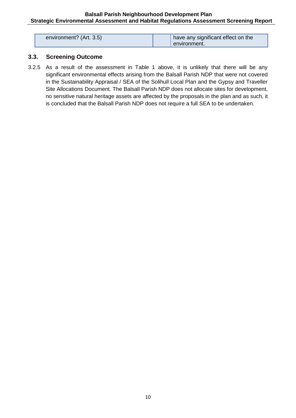| environment? (Art. 3.5) | have any significant effect on the |
|-------------------------|------------------------------------|
|                         | ' environment.                     |

#### **3.3. Screening Outcome**

3.2.5 As a result of the assessment in Table 1 above, it is unlikely that there will be any significant environmental effects arising from the Balsall Parish NDP that were not covered in the Sustainability Appraisal / SEA of the Solihull Local Plan and the Gypsy and Traveller Site Allocations Document. The Balsall Parish NDP does not allocate sites for development, no sensitive natural heritage assets are affected by the proposals in the plan and as such, it is concluded that the Balsall Parish NDP does not require a full SEA to be undertaken.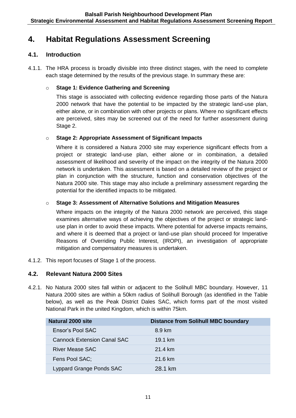# **4. Habitat Regulations Assessment Screening**

### **4.1. Introduction**

4.1.1. The HRA process is broadly divisible into three distinct stages, with the need to complete each stage determined by the results of the previous stage. In summary these are:

#### o **Stage 1: Evidence Gathering and Screening**

This stage is associated with collecting evidence regarding those parts of the Natura 2000 network that have the potential to be impacted by the strategic land-use plan, either alone, or in combination with other projects or plans. Where no significant effects are perceived, sites may be screened out of the need for further assessment during Stage 2.

#### o **Stage 2: Appropriate Assessment of Significant Impacts**

Where it is considered a Natura 2000 site may experience significant effects from a project or strategic land-use plan, either alone or in combination, a detailed assessment of likelihood and severity of the impact on the integrity of the Natura 2000 network is undertaken. This assessment is based on a detailed review of the project or plan in conjunction with the structure, function and conservation objectives of the Natura 2000 site. This stage may also include a preliminary assessment regarding the potential for the identified impacts to be mitigated.

#### o **Stage 3: Assessment of Alternative Solutions and Mitigation Measures**

Where impacts on the integrity of the Natura 2000 network are perceived, this stage examines alternative ways of achieving the objectives of the project or strategic landuse plan in order to avoid these impacts. Where potential for adverse impacts remains, and where it is deemed that a project or land-use plan should proceed for Imperative Reasons of Overriding Public Interest, (IROPI), an investigation of appropriate mitigation and compensatory measures is undertaken.

4.1.2. This report focuses of Stage 1 of the process.

### **4.2. Relevant Natura 2000 Sites**

4.2.1. No Natura 2000 sites fall within or adjacent to the Solihull MBC boundary. However, 11 Natura 2000 sites are within a 50km radius of Solihull Borough (as identified in the Table below), as well as the Peak District Dales SAC, which forms part of the most visited National Park in the united Kingdom, which is within 75km.

| Natural 2000 site                  | <b>Distance from Solihull MBC boundary</b> |
|------------------------------------|--------------------------------------------|
| Ensor's Pool SAC                   | 8.9 km                                     |
| <b>Cannock Extension Canal SAC</b> | $19.1 \text{ km}$                          |
| River Mease SAC                    | 21.4 km                                    |
| Fens Pool SAC;                     | 21.6 km                                    |
| Lyppard Grange Ponds SAC           | 28.1 km                                    |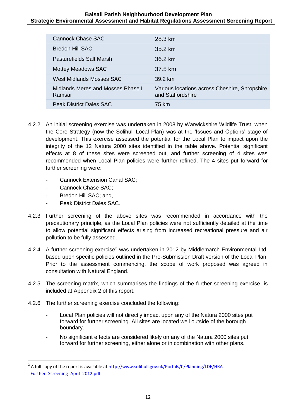| Cannock Chase SAC                           | 28.3 km                                                            |
|---------------------------------------------|--------------------------------------------------------------------|
| Bredon Hill SAC                             | $35.2 \text{ km}$                                                  |
| Pasturefields Salt Marsh                    | 36.2 km                                                            |
| <b>Mottey Meadows SAC</b>                   | 37.5 km                                                            |
| West Midlands Mosses SAC                    | 39.2 km                                                            |
| Midlands Meres and Mosses Phase I<br>Ramsar | Various locations across Cheshire, Shropshire<br>and Staffordshire |
| <b>Peak District Dales SAC</b>              | 75 km                                                              |

- 4.2.2. An initial screening exercise was undertaken in 2008 by Warwickshire Wildlife Trust, when the Core Strategy (now the Solihull Local Plan) was at the 'Issues and Options' stage of development. This exercise assessed the potential for the Local Plan to impact upon the integrity of the 12 Natura 2000 sites identified in the table above. Potential significant effects at 8 of these sites were screened out, and further screening of 4 sites was recommended when Local Plan policies were further refined. The 4 sites put forward for further screening were:
	- Cannock Extension Canal SAC;
	- Cannock Chase SAC;
	- Bredon Hill SAC; and,

**.** 

- Peak District Dales SAC.
- 4.2.3. Further screening of the above sites was recommended in accordance with the precautionary principle, as the Local Plan policies were not sufficiently detailed at the time to allow potential significant effects arising from increased recreational pressure and air pollution to be fully assessed.
- 4.2.4. A further screening exercise<sup>2</sup> was undertaken in 2012 by Middlemarch Environmental Ltd, based upon specific policies outlined in the Pre-Submission Draft version of the Local Plan. Prior to the assessment commencing, the scope of work proposed was agreed in consultation with Natural England.
- 4.2.5. The screening matrix, which summarises the findings of the further screening exercise, is included at Appendix 2 of this report.
- 4.2.6. The further screening exercise concluded the following:
	- Local Plan policies will not directly impact upon any of the Natura 2000 sites put forward for further screening. All sites are located well outside of the borough boundary.
	- No significant effects are considered likely on any of the Natura 2000 sites put forward for further screening, either alone or in combination with other plans.

<sup>&</sup>lt;sup>2</sup> A full copy of the report is available at http://www.solihull.gov.uk/Portals/0/Planning/LDF/HRA -Further Screening April 2012.pdf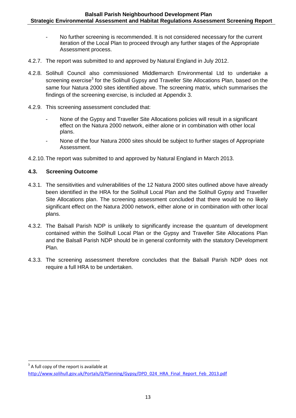- No further screening is recommended. It is not considered necessary for the current iteration of the Local Plan to proceed through any further stages of the Appropriate Assessment process.
- 4.2.7. The report was submitted to and approved by Natural England in July 2012.
- 4.2.8. Solihull Council also commissioned Middlemarch Environmental Ltd to undertake a screening exercise<sup>3</sup> for the Solihull Gypsy and Traveller Site Allocations Plan, based on the same four Natura 2000 sites identified above. The screening matrix, which summarises the findings of the screening exercise, is included at Appendix 3.
- 4.2.9. This screening assessment concluded that:
	- None of the Gypsy and Traveller Site Allocations policies will result in a significant effect on the Natura 2000 network, either alone or in combination with other local plans.
	- None of the four Natura 2000 sites should be subject to further stages of Appropriate Assessment.
- 4.2.10. The report was submitted to and approved by Natural England in March 2013.

### **4.3. Screening Outcome**

- 4.3.1. The sensitivities and vulnerabilities of the 12 Natura 2000 sites outlined above have already been identified in the HRA for the Solihull Local Plan and the Solihull Gypsy and Traveller Site Allocations plan. The screening assessment concluded that there would be no likely significant effect on the Natura 2000 network, either alone or in combination with other local plans.
- 4.3.2. The Balsall Parish NDP is unlikely to significantly increase the quantum of development contained within the Solihull Local Plan or the Gypsy and Traveller Site Allocations Plan and the Balsall Parish NDP should be in general conformity with the statutory Development Plan.
- 4.3.3. The screening assessment therefore concludes that the Balsall Parish NDP does not require a full HRA to be undertaken.

**<sup>.</sup>**  $3$  A full copy of the report is available at

[http://www.solihull.gov.uk/Portals/0/Planning/Gypsy/DPD\\_024\\_HRA\\_Final\\_Report\\_Feb\\_2013.pdf](http://www.solihull.gov.uk/Portals/0/Planning/Gypsy/DPD_024_HRA_Final_Report_Feb_2013.pdf)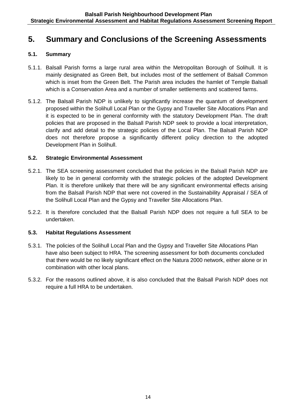# **5. Summary and Conclusions of the Screening Assessments**

#### **5.1. Summary**

- 5.1.1. Balsall Parish forms a large rural area within the Metropolitan Borough of Solihull. It is mainly designated as Green Belt, but includes most of the settlement of Balsall Common which is inset from the Green Belt. The Parish area includes the hamlet of Temple Balsall which is a Conservation Area and a number of smaller settlements and scattered farms.
- 5.1.2. The Balsall Parish NDP is unlikely to significantly increase the quantum of development proposed within the Solihull Local Plan or the Gypsy and Traveller Site Allocations Plan and it is expected to be in general conformity with the statutory Development Plan. The draft policies that are proposed in the Balsall Parish NDP seek to provide a local interpretation, clarify and add detail to the strategic policies of the Local Plan. The Balsall Parish NDP does not therefore propose a significantly different policy direction to the adopted Development Plan in Solihull.

#### **5.2. Strategic Environmental Assessment**

- 5.2.1. The SEA screening assessment concluded that the policies in the Balsall Parish NDP are likely to be in general conformity with the strategic policies of the adopted Development Plan. It is therefore unlikely that there will be any significant environmental effects arising from the Balsall Parish NDP that were not covered in the Sustainability Appraisal / SEA of the Solihull Local Plan and the Gypsy and Traveller Site Allocations Plan.
- 5.2.2. It is therefore concluded that the Balsall Parish NDP does not require a full SEA to be undertaken.

### **5.3. Habitat Regulations Assessment**

- 5.3.1. The policies of the Solihull Local Plan and the Gypsy and Traveller Site Allocations Plan have also been subject to HRA. The screening assessment for both documents concluded that there would be no likely significant effect on the Natura 2000 network, either alone or in combination with other local plans.
- 5.3.2. For the reasons outlined above, it is also concluded that the Balsall Parish NDP does not require a full HRA to be undertaken.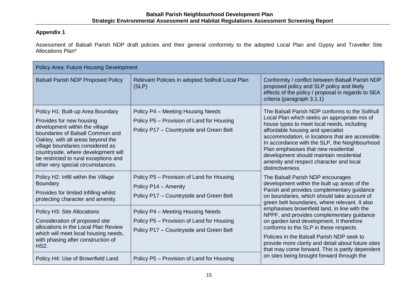### **Appendix 1**

Assessment of Balsall Parish NDP draft policies and their general conformity to the adopted Local Plan and Gypsy and Traveller Site Allocations Plan\*

| Policy Area: Future Housing Development                                                                                                                                                                                                                                                                                           |                                                                                                                                                   |                                                                                                                                                                                                                                                                                                                                                                                                                                           |  |
|-----------------------------------------------------------------------------------------------------------------------------------------------------------------------------------------------------------------------------------------------------------------------------------------------------------------------------------|---------------------------------------------------------------------------------------------------------------------------------------------------|-------------------------------------------------------------------------------------------------------------------------------------------------------------------------------------------------------------------------------------------------------------------------------------------------------------------------------------------------------------------------------------------------------------------------------------------|--|
| <b>Balsall Parish NDP Proposed Policy</b>                                                                                                                                                                                                                                                                                         | Relevant Policies in adopted Solihull Local Plan<br>(SLP)                                                                                         | Conformity / conflict between Balsall Parish NDP<br>proposed policy and SLP policy and likely<br>effects of the policy / proposal in regards to SEA<br>criteria (paragraph 3.1.1)                                                                                                                                                                                                                                                         |  |
| Policy H1: Built-up Area Boundary<br>Provides for new housing<br>development within the village<br>boundaries of Balsall Common and<br>Oakley, with all areas beyond the<br>village boundaries considered as<br>countryside, where development will<br>be restricted to rural exceptions and<br>other very special circumstances. | Policy P4 - Meeting Housing Needs<br>Policy P5 - Provision of Land for Housing<br>Policy P17 - Countryside and Green Belt                         | The Balsall Parish NDP conforms to the Solihull<br>Local Plan which seeks an appropriate mix of<br>house types to meet local needs, including<br>affordable housing and specialist<br>accommodation, in locations that are accessible.<br>In accordance with the SLP, the Neighbourhood<br>Plan emphasises that new residential<br>development should maintain residential<br>amenity and respect character and local<br>distinctiveness. |  |
| Policy H2: Infill within the Village<br>Boundary<br>Provides for limited infilling whilst<br>protecting character and amenity.<br>Policy H3: Site Allocations                                                                                                                                                                     | Policy P5 - Provision of Land for Housing<br>Policy P14 - Amenity<br>Policy P17 - Countryside and Green Belt<br>Policy P4 - Meeting Housing Needs | The Balsall Parish NDP encourages<br>development within the built up areas of the<br>Parish and provides complementary guidance<br>on boundaries, which should take account of<br>green belt boundaries, where relevant. It also<br>emphasises brownfield land, in line with the                                                                                                                                                          |  |
| Consideration of proposed site<br>allocations in the Local Plan Review<br>which will meet local housing needs,<br>with phasing after construction of<br><b>HS2.</b>                                                                                                                                                               | Policy P5 - Provision of Land for Housing<br>Policy P17 - Countryside and Green Belt                                                              | NPPF, and provides complementary guidance<br>on garden land development. It therefore<br>conforms to the SLP in these respects.<br>Policies in the Balsall Parish NDP seek to<br>provide more clarity and detail about future sites<br>that may come forward. This is partly dependent                                                                                                                                                    |  |
| Policy H4: Use of Brownfield Land                                                                                                                                                                                                                                                                                                 | Policy P5 - Provision of Land for Housing                                                                                                         | on sites being brought forward through the                                                                                                                                                                                                                                                                                                                                                                                                |  |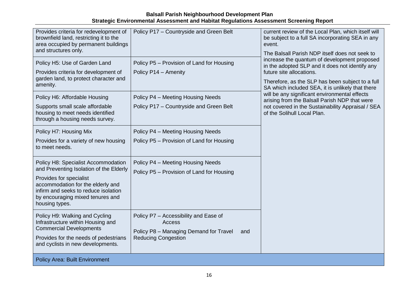| Provides criteria for redevelopment of<br>brownfield land, restricting it to the<br>area occupied by permanent buildings<br>and structures only.                                                                                             | Policy P17 - Countryside and Green Belt                                                                                        | current review of the Local Plan, which itself will<br>be subject to a full SA incorporating SEA in any<br>event.<br>The Balsall Parish NDP itself does not seek to                                                                 |
|----------------------------------------------------------------------------------------------------------------------------------------------------------------------------------------------------------------------------------------------|--------------------------------------------------------------------------------------------------------------------------------|-------------------------------------------------------------------------------------------------------------------------------------------------------------------------------------------------------------------------------------|
| Policy H5: Use of Garden Land<br>Provides criteria for development of<br>garden land, to protect character and<br>amenity.                                                                                                                   | Policy P5 - Provision of Land for Housing<br>Policy P14 - Amenity                                                              | increase the quantum of development proposed<br>in the adopted SLP and it does not identify any<br>future site allocations.<br>Therefore, as the SLP has been subject to a full<br>SA which included SEA, it is unlikely that there |
| Policy H6: Affordable Housing<br>Supports small scale affordable<br>housing to meet needs identified<br>through a housing needs survey.                                                                                                      | Policy P4 - Meeting Housing Needs<br>Policy P17 - Countryside and Green Belt                                                   | will be any significant environmental effects<br>arising from the Balsall Parish NDP that were<br>not covered in the Sustainability Appraisal / SEA<br>of the Solihull Local Plan.                                                  |
| Policy H7: Housing Mix<br>Provides for a variety of new housing<br>to meet needs.                                                                                                                                                            | Policy P4 - Meeting Housing Needs<br>Policy P5 - Provision of Land for Housing                                                 |                                                                                                                                                                                                                                     |
| Policy H8: Specialist Accommodation<br>and Preventing Isolation of the Elderly<br>Provides for specialist<br>accommodation for the elderly and<br>infirm and seeks to reduce isolation<br>by encouraging mixed tenures and<br>housing types. | Policy P4 - Meeting Housing Needs<br>Policy P5 - Provision of Land for Housing                                                 |                                                                                                                                                                                                                                     |
| Policy H9: Walking and Cycling<br>Infrastructure within Housing and<br><b>Commercial Developments</b><br>Provides for the needs of pedestrians<br>and cyclists in new developments.                                                          | Policy P7 - Accessibility and Ease of<br>Access<br>Policy P8 - Managing Demand for Travel<br>and<br><b>Reducing Congestion</b> |                                                                                                                                                                                                                                     |
| <b>Policy Area: Built Environment</b>                                                                                                                                                                                                        |                                                                                                                                |                                                                                                                                                                                                                                     |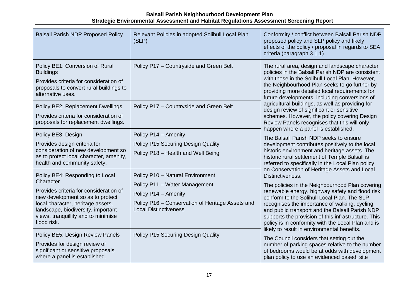| <b>Balsall Parish NDP Proposed Policy</b>                                                                                                                                                                                                                   | Relevant Policies in adopted Solihull Local Plan<br>(SLP)                                                                                                                     | Conformity / conflict between Balsall Parish NDP<br>proposed policy and SLP policy and likely<br>effects of the policy / proposal in regards to SEA<br>criteria (paragraph 3.1.1)                                                                                                                                                                                                                                                                                                                                                          |
|-------------------------------------------------------------------------------------------------------------------------------------------------------------------------------------------------------------------------------------------------------------|-------------------------------------------------------------------------------------------------------------------------------------------------------------------------------|--------------------------------------------------------------------------------------------------------------------------------------------------------------------------------------------------------------------------------------------------------------------------------------------------------------------------------------------------------------------------------------------------------------------------------------------------------------------------------------------------------------------------------------------|
| Policy BE1: Conversion of Rural<br><b>Buildings</b><br>Provides criteria for consideration of<br>proposals to convert rural buildings to<br>alternative uses.                                                                                               | Policy P17 - Countryside and Green Belt                                                                                                                                       | The rural area, design and landscape character<br>policies in the Balsall Parish NDP are consistent<br>with those in the Solihull Local Plan. However,<br>the Neighbourhood Plan seeks to go further by<br>providing more detailed local requirements for<br>future developments, including conversions of                                                                                                                                                                                                                                 |
| Policy BE2: Replacement Dwellings<br>Provides criteria for consideration of<br>proposals for replacement dwellings.                                                                                                                                         | Policy P17 - Countryside and Green Belt                                                                                                                                       | agricultural buildings, as well as providing for<br>design review of significant or sensitive<br>schemes. However, the policy covering Design<br>Review Panels recognises that this will only<br>happen where a panel is established.<br>The Balsall Parish NDP seeks to ensure<br>development contributes positively to the local<br>historic environment and heritage assets. The<br>historic rural settlement of Temple Balsall is<br>referred to specifically in the Local Plan policy<br>on Conservation of Heritage Assets and Local |
| Policy BE3: Design<br>Provides design criteria for<br>consideration of new development so<br>as to protect local character, amenity,<br>health and community safety.                                                                                        | Policy P14 - Amenity<br>Policy P15 Securing Design Quality<br>Policy P18 - Health and Well Being                                                                              |                                                                                                                                                                                                                                                                                                                                                                                                                                                                                                                                            |
| Policy BE4: Responding to Local<br>Character<br>Provides criteria for consideration of<br>new development so as to protect<br>local character, heritage assets,<br>landscape, biodiversity, important<br>views, tranquillity and to minimise<br>flood risk. | Policy P10 - Natural Environment<br>Policy P11 - Water Management<br>Policy P14 - Amenity<br>Policy P16 - Conservation of Heritage Assets and<br><b>Local Distinctiveness</b> | Distinctiveness.<br>The policies in the Neighbourhood Plan covering<br>renewable energy, highway safety and flood risk<br>conform to the Solihull Local Plan. The SLP<br>recognises the importance of walking, cycling<br>and public transport and the Balsall Parish NDP<br>supports the provision of this infrastructure. This<br>policy is in conformity with the Local Plan and is                                                                                                                                                     |
| Policy BE5: Design Review Panels<br>Provides for design review of<br>significant or sensitive proposals<br>where a panel is established.                                                                                                                    | <b>Policy P15 Securing Design Quality</b>                                                                                                                                     | likely to result in environmental benefits.<br>The Council considers that setting out the<br>number of parking spaces relative to the number<br>of bedrooms would be at odds with development<br>plan policy to use an evidenced based, site                                                                                                                                                                                                                                                                                               |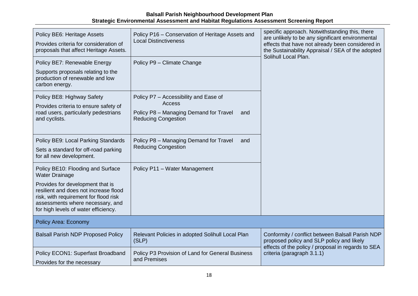| Policy BE6: Heritage Assets<br>Provides criteria for consideration of<br>proposals that affect Heritage Assets.                                                                                                                                              | Policy P16 - Conservation of Heritage Assets and<br><b>Local Distinctiveness</b>                                               | specific approach. Notwithstanding this, there<br>are unlikely to be any significant environmental<br>effects that have not already been considered in<br>the Sustainability Appraisal / SEA of the adopted |
|--------------------------------------------------------------------------------------------------------------------------------------------------------------------------------------------------------------------------------------------------------------|--------------------------------------------------------------------------------------------------------------------------------|-------------------------------------------------------------------------------------------------------------------------------------------------------------------------------------------------------------|
| Policy BE7: Renewable Energy<br>Supports proposals relating to the<br>production of renewable and low                                                                                                                                                        | Policy P9 - Climate Change                                                                                                     | Solihull Local Plan.                                                                                                                                                                                        |
| carbon energy.<br>Policy BE8: Highway Safety<br>Provides criteria to ensure safety of<br>road users, particularly pedestrians<br>and cyclists.                                                                                                               | Policy P7 - Accessibility and Ease of<br>Access<br>Policy P8 - Managing Demand for Travel<br>and<br><b>Reducing Congestion</b> |                                                                                                                                                                                                             |
| Policy BE9: Local Parking Standards<br>Sets a standard for off-road parking<br>for all new development.                                                                                                                                                      | Policy P8 - Managing Demand for Travel<br>and<br><b>Reducing Congestion</b>                                                    |                                                                                                                                                                                                             |
| Policy BE10: Flooding and Surface<br><b>Water Drainage</b><br>Provides for development that is<br>resilient and does not increase flood<br>risk, with requirement for flood risk<br>assessments where necessary, and<br>for high levels of water efficiency. | Policy P11 - Water Management                                                                                                  |                                                                                                                                                                                                             |
| <b>Policy Area: Economy</b>                                                                                                                                                                                                                                  |                                                                                                                                |                                                                                                                                                                                                             |
| <b>Balsall Parish NDP Proposed Policy</b>                                                                                                                                                                                                                    | Relevant Policies in adopted Solihull Local Plan<br>(SLP)                                                                      | Conformity / conflict between Balsall Parish NDP<br>proposed policy and SLP policy and likely                                                                                                               |
| Policy ECON1: Superfast Broadband<br>Provides for the necessary                                                                                                                                                                                              | Policy P3 Provision of Land for General Business<br>and Premises                                                               | effects of the policy / proposal in regards to SEA<br>criteria (paragraph 3.1.1)                                                                                                                            |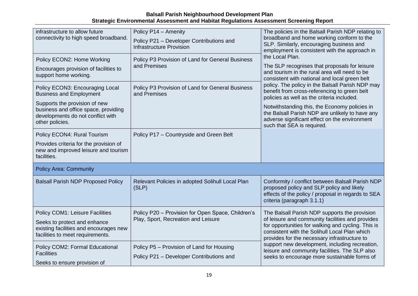| infrastructure to allow future<br>connectivity to high speed broadband.                                                                                         | Policy P14 - Amenity<br>Policy P21 - Developer Contributions and<br><b>Infrastructure Provision</b>                  | The policies in the Balsall Parish NDP relating to<br>broadband and home working conform to the<br>SLP. Similarly, encouraging business and<br>employment is consistent with the approach in                                                                           |
|-----------------------------------------------------------------------------------------------------------------------------------------------------------------|----------------------------------------------------------------------------------------------------------------------|------------------------------------------------------------------------------------------------------------------------------------------------------------------------------------------------------------------------------------------------------------------------|
| Policy ECON2: Home Working<br>Encourages provision of facilities to<br>support home working.<br>Policy ECON3: Encouraging Local                                 | Policy P3 Provision of Land for General Business<br>and Premises<br>Policy P3 Provision of Land for General Business | the Local Plan.<br>The SLP recognises that proposals for leisure<br>and tourism in the rural area will need to be<br>consistent with national and local green belt<br>policy. The policy in the Balsall Parish NDP may<br>benefit from cross-referencing to green belt |
| <b>Business and Employment</b><br>Supports the provision of new<br>business and office space, providing<br>developments do not conflict with<br>other policies. | and Premises                                                                                                         | policies as well as the criteria included.<br>Notwithstanding this, the Economy policies in<br>the Balsall Parish NDP are unlikely to have any<br>adverse significant effect on the environment<br>such that SEA is required.                                          |
| Policy ECON4: Rural Tourism<br>Provides criteria for the provision of<br>new and improved leisure and tourism<br>facilities.                                    | Policy P17 - Countryside and Green Belt                                                                              |                                                                                                                                                                                                                                                                        |
| <b>Policy Area: Community</b>                                                                                                                                   |                                                                                                                      |                                                                                                                                                                                                                                                                        |
| <b>Balsall Parish NDP Proposed Policy</b>                                                                                                                       | Relevant Policies in adopted Solihull Local Plan<br>(SLP)                                                            | Conformity / conflict between Balsall Parish NDP<br>proposed policy and SLP policy and likely<br>effects of the policy / proposal in regards to SEA<br>criteria (paragraph 3.1.1)                                                                                      |
| Policy COM1: Leisure Facilities<br>Seeks to protect and enhance<br>existing facilities and encourages new<br>facilities to meet requirements.                   | Policy P20 - Provision for Open Space, Children's<br>Play, Sport, Recreation and Leisure                             | The Balsall Parish NDP supports the provision<br>of leisure and community facilities and provides<br>for opportunities for walking and cycling. This is<br>consistent with the Solihull Local Plan which<br>provides for the necessary infrastructure to               |
| Policy COM2: Formal Educational<br><b>Facilities</b><br>Seeks to ensure provision of                                                                            | Policy P5 - Provision of Land for Housing<br>Policy P21 - Developer Contributions and                                | support new development, including recreation,<br>leisure and community facilities. The SLP also<br>seeks to encourage more sustainable forms of                                                                                                                       |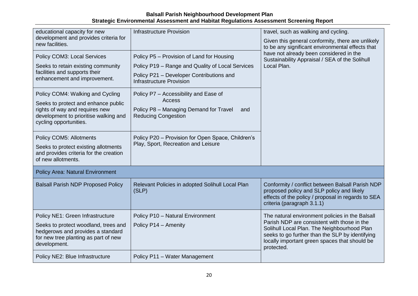| educational capacity for new                                                              | <b>Infrastructure Provision</b>                                             | travel, such as walking and cycling.                                                                           |  |
|-------------------------------------------------------------------------------------------|-----------------------------------------------------------------------------|----------------------------------------------------------------------------------------------------------------|--|
| development and provides criteria for<br>new facilities.                                  |                                                                             | Given this general conformity, there are unlikely<br>to be any significant environmental effects that          |  |
| Policy COM3: Local Services                                                               | Policy P5 - Provision of Land for Housing                                   | have not already been considered in the<br>Sustainability Appraisal / SEA of the Solihull                      |  |
| Seeks to retain existing community                                                        | Policy P19 - Range and Quality of Local Services                            | Local Plan.                                                                                                    |  |
| facilities and supports their<br>enhancement and improvement.                             | Policy P21 - Developer Contributions and<br><b>Infrastructure Provision</b> |                                                                                                                |  |
| Policy COM4: Walking and Cycling                                                          | Policy P7 - Accessibility and Ease of                                       |                                                                                                                |  |
| Seeks to protect and enhance public                                                       | <b>Access</b>                                                               |                                                                                                                |  |
| rights of way and requires new<br>development to prioritise walking and                   | Policy P8 - Managing Demand for Travel<br>and<br><b>Reducing Congestion</b> |                                                                                                                |  |
| cycling opportunities.                                                                    |                                                                             |                                                                                                                |  |
| Policy COM5: Allotments                                                                   | Policy P20 - Provision for Open Space, Children's                           |                                                                                                                |  |
| Seeks to protect existing allotments                                                      | Play, Sport, Recreation and Leisure                                         |                                                                                                                |  |
| and provides criteria for the creation<br>of new allotments.                              |                                                                             |                                                                                                                |  |
| <b>Policy Area: Natural Environment</b>                                                   |                                                                             |                                                                                                                |  |
| <b>Balsall Parish NDP Proposed Policy</b>                                                 | Relevant Policies in adopted Solihull Local Plan                            | Conformity / conflict between Balsall Parish NDP                                                               |  |
|                                                                                           | (SLP)                                                                       | proposed policy and SLP policy and likely<br>effects of the policy / proposal in regards to SEA                |  |
|                                                                                           |                                                                             | criteria (paragraph 3.1.1)                                                                                     |  |
| Policy NE1: Green Infrastructure                                                          | Policy P10 - Natural Environment                                            | The natural environment policies in the Balsall                                                                |  |
| Seeks to protect woodland, trees and                                                      | Policy P14 - Amenity                                                        | Parish NDP are consistent with those in the<br>Solihull Local Plan. The Neighbourhood Plan                     |  |
| hedgerows and provides a standard<br>for new tree planting as part of new<br>development. |                                                                             | seeks to go further than the SLP by identifying<br>locally important green spaces that should be<br>protected. |  |
| Policy NE2: Blue Infrastructure                                                           | Policy P11 - Water Management                                               |                                                                                                                |  |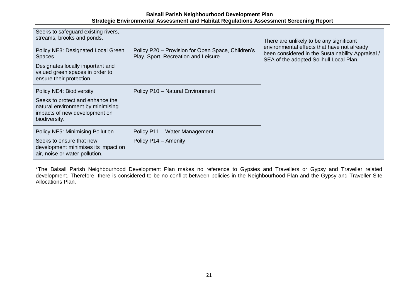| Seeks to safeguard existing rivers,<br>streams, brooks and ponds.                                                                                      |                                                                                          | There are unlikely to be any significant                                                                                                    |  |
|--------------------------------------------------------------------------------------------------------------------------------------------------------|------------------------------------------------------------------------------------------|---------------------------------------------------------------------------------------------------------------------------------------------|--|
| Policy NE3: Designated Local Green<br><b>Spaces</b><br>Designates locally important and<br>valued green spaces in order to<br>ensure their protection. | Policy P20 – Provision for Open Space, Children's<br>Play, Sport, Recreation and Leisure | environmental effects that have not already<br>been considered in the Sustainability Appraisal /<br>SEA of the adopted Solihull Local Plan. |  |
| Policy NE4: Biodiversity<br>Seeks to protect and enhance the<br>natural environment by minimising<br>impacts of new development on<br>biodiversity.    | Policy P10 - Natural Environment                                                         |                                                                                                                                             |  |
| <b>Policy NE5: Minimising Pollution</b><br>Seeks to ensure that new<br>development minimises its impact on<br>air, noise or water pollution.           | Policy P11 - Water Management<br>Policy P14 - Amenity                                    |                                                                                                                                             |  |

\*The Balsall Parish Neighbourhood Development Plan makes no reference to Gypsies and Travellers or Gypsy and Traveller related development. Therefore, there is considered to be no conflict between policies in the Neighbourhood Plan and the Gypsy and Traveller Site Allocations Plan.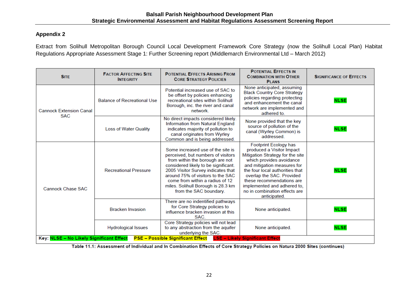#### **Appendix 2**

Extract from Solihull Metropolitan Borough Council Local Development Framework Core Strategy (now the Solihull Local Plan) Habitat Regulations Appropriate Assessment Stage 1: Further Screening report (Middlemarch Environmental Ltd – March 2012)

| <b>SITE</b>                                  | <b>FACTOR AFFECTING SITE</b><br><b>INTEGRITY</b> | <b>POTENTIAL EFFECTS ARISING FROM</b><br><b>CORE STRATEGY POLICIES</b>                                                                                                                                                                                                                                                           | <b>POTENTIAL EFFECTS IN</b><br><b>COMBINATION WITH OTHER</b><br><b>PLANS</b>                                                                                                                                                                                                                                                   | <b>SIGNIFICANCE OF EFFECTS</b> |
|----------------------------------------------|--------------------------------------------------|----------------------------------------------------------------------------------------------------------------------------------------------------------------------------------------------------------------------------------------------------------------------------------------------------------------------------------|--------------------------------------------------------------------------------------------------------------------------------------------------------------------------------------------------------------------------------------------------------------------------------------------------------------------------------|--------------------------------|
| <b>Cannock Extension Canal</b><br><b>SAC</b> | <b>Balance of Recreational Use</b>               | Potential increased use of SAC to<br>be offset by policies enhancing<br>recreational sites within Solihull<br>Borough, inc. the river and canal<br>network.                                                                                                                                                                      | None anticipated, assuming<br><b>Black Country Core Strategy</b><br>policies regarding protecting<br>and enhancement the canal<br>network are implemented and<br>adhered to.                                                                                                                                                   | <b>NLSE</b>                    |
|                                              | <b>Loss of Water Quality</b>                     | No direct impacts considered likely.<br>Information from Natural England<br>indicates majority of pollution to<br>canal originates from Wyrley<br>Common and is being addressed.                                                                                                                                                 | None provided that the key<br>source of pollution of the<br>canal (Wyrley Common) is<br>addressed.                                                                                                                                                                                                                             | <b>NLSE</b>                    |
| <b>Cannock Chase SAC</b>                     | <b>Recreational Pressure</b>                     | Some increased use of the site is<br>perceived, but numbers of visitors<br>from within the borough are not<br>considered likely to be significant.<br>2005 Visitor Survey indicates that<br>around 75% of visitors to the SAC<br>come from within a radius of 12<br>miles. Solihull Borough is 28.3 km<br>from the SAC boundary. | Footprint Ecology has<br>produced a Visitor Impact<br>Mitigation Strategy for the site<br>which provides avoidance<br>and mitigation measures for<br>the four local authorities that<br>overlap the SAC. Provided<br>these recommendations are<br>implemented and adhered to.<br>no in combination effects are<br>anticipated. | <b>NLSE</b>                    |
| Key: NLSE - No Likely Significant Effect     | <b>Bracken Invasion</b>                          | There are no indentified pathways<br>for Core Strategy policies to<br>influence bracken invasion at this<br>SAC.                                                                                                                                                                                                                 | None anticipated.                                                                                                                                                                                                                                                                                                              | <b>NLSE</b>                    |
|                                              | <b>Hydrological Issues</b>                       | Core Strategy policies will not lead<br>to any abstraction from the aquifer<br>underlying the SAC.<br><b>PSE - Possible Significant Effect</b>                                                                                                                                                                                   | None anticipated.<br><b>LSE - Likely Significant Effect</b>                                                                                                                                                                                                                                                                    | <b>NLSE</b>                    |

Table 11.1: Assessment of Individual and In Combination Effects of Core Strategy Policies on Natura 2000 Sites (continues)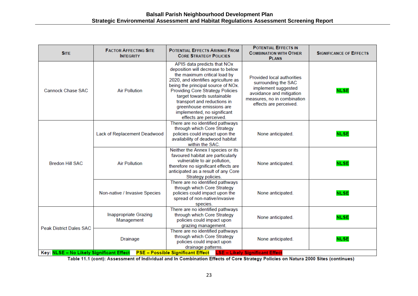| <b>SITE</b>                                                                                                   | <b>FACTOR AFFECTING SITE</b><br><b>INTEGRITY</b> | <b>POTENTIAL EFFECTS ARISING FROM</b><br><b>CORE STRATEGY POLICIES</b>                                                                                                                                                                                                                                                                                                     | <b>POTENTIAL EFFECTS IN</b><br><b>COMBINATION WITH OTHER</b><br><b>PLANS</b>                                                                                         | <b>SIGNIFICANCE OF EFFECTS</b> |
|---------------------------------------------------------------------------------------------------------------|--------------------------------------------------|----------------------------------------------------------------------------------------------------------------------------------------------------------------------------------------------------------------------------------------------------------------------------------------------------------------------------------------------------------------------------|----------------------------------------------------------------------------------------------------------------------------------------------------------------------|--------------------------------|
| <b>Cannock Chase SAC</b>                                                                                      | <b>Air Pollution</b>                             | APIS data predicts that NOx<br>deposition will decrease to below<br>the maximum critical load by<br>2020, and identifies agriculture as<br>being the principal source of NOx.<br><b>Providing Core Strategy Policies</b><br>target towards sustainable<br>transport and reductions in<br>greenhouse emissions are<br>implemented, no significant<br>effects are perceived. | <b>Provided local authorities</b><br>surrounding the SAC<br>implement suggested<br>avoidance and mitigation<br>measures, no in combination<br>effects are perceived. | <b>NLSE</b>                    |
| <b>Bredon Hill SAC</b>                                                                                        | Lack of Replacement Deadwood                     | There are no identified pathways<br>through which Core Strategy<br>policies could impact upon the<br>availability of deadwood habitat<br>within the SAC.                                                                                                                                                                                                                   | None anticipated.                                                                                                                                                    | <b>NLSE</b>                    |
|                                                                                                               | <b>Air Pollution</b>                             | Neither the Annex I species or its<br>favoured habitat are particularly<br>vulnerable to air pollution,<br>therefore no significant effects are<br>anticipated as a result of any Core<br>Strategy policies.                                                                                                                                                               | None anticipated.                                                                                                                                                    | <b>NLSE</b>                    |
|                                                                                                               | Non-native / Invasive Species                    | There are no identified pathways<br>through which Core Strategy<br>policies could impact upon the<br>spread of non-native/invasive<br>species.                                                                                                                                                                                                                             | None anticipated.                                                                                                                                                    | <b>NLSE</b>                    |
| <b>Peak District Dales SAC</b>                                                                                | <b>Inappropriate Grazing</b><br>Management       | There are no identified pathways<br>through which Core Strategy<br>policies could impact upon<br>grazing management.                                                                                                                                                                                                                                                       | None anticipated.                                                                                                                                                    | <b>NLSE</b>                    |
|                                                                                                               | <b>Drainage</b>                                  | There are no identified pathways<br>through which Core Strategy<br>policies could impact upon<br>drainage patterns.                                                                                                                                                                                                                                                        | None anticipated.                                                                                                                                                    | <b>NLSE</b>                    |
| PSE - Possible Significant Effect LSE - Likely Significant Effect<br>Key: NLSE - No Likely Significant Effect |                                                  |                                                                                                                                                                                                                                                                                                                                                                            |                                                                                                                                                                      |                                |

Table 11.1 (cont): Assessment of Individual and In Combination Effects of Core Strategy Policies on Natura 2000 Sites (continues)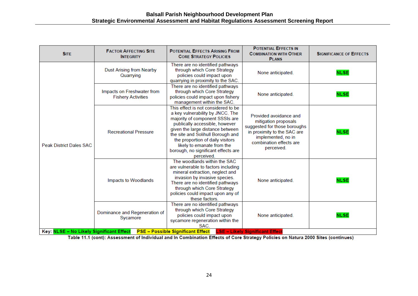| <b>SITE</b>                    | <b>FACTOR AFFECTING SITE</b><br><b>INTEGRITY</b>                                      | <b>POTENTIAL EFFECTS ARISING FROM</b><br><b>CORE STRATEGY POLICIES</b>                                                                                                                                                                                                                                                                       | <b>POTENTIAL EFFECTS IN</b><br><b>COMBINATION WITH OTHER</b><br><b>PLANS</b>                                                                                                 | <b>SIGNIFICANCE OF EFFECTS</b> |
|--------------------------------|---------------------------------------------------------------------------------------|----------------------------------------------------------------------------------------------------------------------------------------------------------------------------------------------------------------------------------------------------------------------------------------------------------------------------------------------|------------------------------------------------------------------------------------------------------------------------------------------------------------------------------|--------------------------------|
| <b>Peak District Dales SAC</b> | <b>Dust Arising from Nearby</b><br>Quarrying                                          | There are no identified pathways<br>through which Core Strategy<br>policies could impact upon<br>quarrying in proximity to the SAC.                                                                                                                                                                                                          | None anticipated.                                                                                                                                                            | <b>NLSE</b>                    |
|                                | Impacts on Freshwater from<br><b>Fishery Activities</b>                               | There are no identified pathways<br>through which Core Strategy<br>policies could impact upon fishery<br>management within the SAC.                                                                                                                                                                                                          | None anticipated.                                                                                                                                                            | <b>NLSE</b>                    |
|                                | <b>Recreational Pressure</b>                                                          | This effect is not considered to be<br>a key vulnerability by JNCC. The<br>majority of component SSSIs are<br>publically accessible, however<br>given the large distance between<br>the site and Solihull Borough and<br>the proportion of daily visitors<br>likely to emanate from the<br>borough, no significant effects are<br>perceived. | Provided avoidance and<br>mitigation proposals<br>suggested for those boroughs<br>in proximity to the SAC are<br>implemented, no in<br>combination effects are<br>perceived. | <b>NLSE</b>                    |
|                                | Impacts to Woodlands                                                                  | The woodlands within the SAC<br>are vulnerable to factors including<br>mineral extraction, neglect and<br>invasion by invasive species.<br>There are no identified pathways<br>through which Core Strategy<br>policies could impact upon any of<br>these factors.                                                                            | None anticipated.                                                                                                                                                            | <b>NLSE</b>                    |
|                                | Dominance and Regeneration of<br>Sycamore<br>Key: NLSE - No Likely Significant Effect | There are no identified pathways<br>through which Core Strategy<br>policies could impact upon<br>sycamore regeneration within the<br>SAC.<br><b>PSE - Possible Significant Effect</b>                                                                                                                                                        | None anticipated.<br><b>LSE - Likely Significant Effect</b>                                                                                                                  | <b>NLSE</b>                    |

Table 11.1 (cont): Assessment of Individual and In Combination Effects of Core Strategy Policies on Natura 2000 Sites (continues)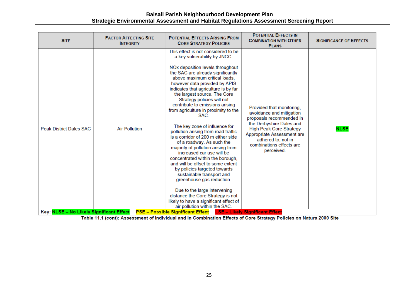| <b>SITE</b>                              | <b>FACTOR AFFECTING SITE</b><br><b>INTEGRITY</b> | <b>POTENTIAL EFFECTS ARISING FROM</b><br><b>CORE STRATEGY POLICIES</b>                                                                                                                                                                                                                                                                                                                                                                                                                                                                                                                                                                                                                                                                                                                                                                                                                                                                   | <b>POTENTIAL EFFECTS IN</b><br><b>COMBINATION WITH OTHER</b><br><b>PLANS</b>                                                                                                                                                                  | <b>SIGNIFICANCE OF EFFECTS</b> |
|------------------------------------------|--------------------------------------------------|------------------------------------------------------------------------------------------------------------------------------------------------------------------------------------------------------------------------------------------------------------------------------------------------------------------------------------------------------------------------------------------------------------------------------------------------------------------------------------------------------------------------------------------------------------------------------------------------------------------------------------------------------------------------------------------------------------------------------------------------------------------------------------------------------------------------------------------------------------------------------------------------------------------------------------------|-----------------------------------------------------------------------------------------------------------------------------------------------------------------------------------------------------------------------------------------------|--------------------------------|
| <b>Peak District Dales SAC</b>           | <b>Air Pollution</b>                             | This effect is not considered to be<br>a key vulnerability by JNCC.<br>NOx deposition levels throughout<br>the SAC are already significantly<br>above maximum critical loads,<br>however data provided by APIS<br>indicates that agriculture is by far<br>the largest source. The Core<br>Strategy policies will not<br>contribute to emissions arising<br>from agriculture in proximity to the<br>SAC.<br>The key zone of influence for<br>pollution arising from road traffic<br>is a corridor of 200 m either side<br>of a roadway. As such the<br>majority of pollution arising from<br>increased car use will be<br>concentrated within the borough,<br>and will be offset to some extent<br>by policies targeted towards<br>sustainable transport and<br>greenhouse gas reduction.<br>Due to the large intervening<br>distance the Core Strategy is not<br>likely to have a significant effect of<br>air pollution within the SAC. | Provided that monitoring,<br>avoidance and mitigation<br>proposals recommended in<br>the Derbyshire Dales and<br><b>High Peak Core Strategy</b><br>Appropriate Assessment are<br>adhered to, not in<br>combinations effects are<br>perceived. | <b>NLSE</b>                    |
| Key: NLSE - No Likely Significant Effect |                                                  | <b>PSE – Possible Significant Effect</b>                                                                                                                                                                                                                                                                                                                                                                                                                                                                                                                                                                                                                                                                                                                                                                                                                                                                                                 | <b>LSE - Likely Significant Effect</b>                                                                                                                                                                                                        |                                |

Table 11.1 (cont): Assessment of Individual and In Combination Effects of Core Strategy Policies on Natura 2000 Site